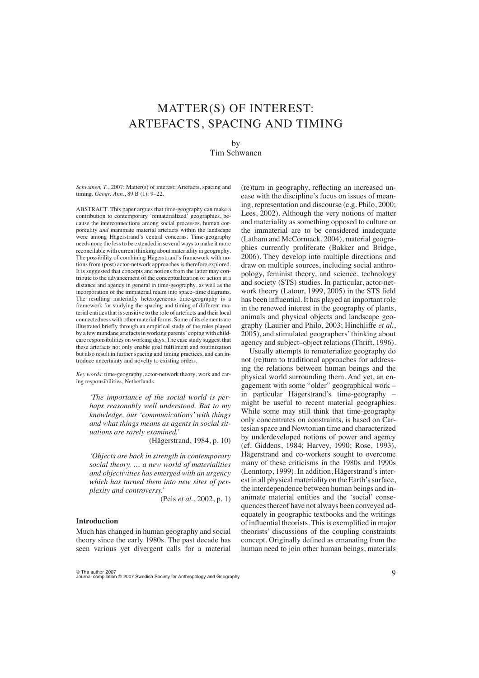# MATTER(S) OF INTEREST: ARTEFACTS, SPACING AND TIMING

by

Tim Schwanen

*Schwanen, T.*, 2007: Matter(s) of interest: Artefacts, spacing and timing. *Geogr. Ann*., 89 B (1): 9–22.

ABSTRACT. This paper argues that time-geography can make a contribution to contemporary 'rematerialized' geographies, because the interconnections among social processes, human corporeality *and* inanimate material artefacts within the landscape were among Hägerstrand's central concerns. Time-geography needs none the less to be extended in several ways to make it more reconcilable with current thinking about materiality in geography. The possibility of combining Hägerstrand's framework with notions from (post) actor-network approaches is therefore explored. It is suggested that concepts and notions from the latter may contribute to the advancement of the conceptualization of action at a distance and agency in general in time-geography, as well as the incorporation of the immaterial realm into space–time diagrams. The resulting materially heterogeneous time-geography is a framework for studying the spacing and timing of different material entities that is sensitive to the role of artefacts and their local connectedness with other material forms. Some of its elements are illustrated briefly through an empirical study of the roles played by a few mundane artefacts in working parents' coping with childcare responsibilities on working days. The case study suggest that these artefacts not only enable goal fulfilment and routinization but also result in further spacing and timing practices, and can introduce uncertainty and novelty to existing orders.

*Key words*: time-geography, actor-network theory, work and caring responsibilities, Netherlands.

*'The importance of the social world is perhaps reasonably well understood. But to my knowledge, our 'communications' with things and what things means as agents in social situations are rarely examined.'*

(Hägerstrand, 1984, p. 10)

*'Objects are back in strength in contemporary social theory. … a new world of materialities and objectivities has emerged with an urgency which has turned them into new sites of perplexity and controversy.'*

(Pels *et al.*, 2002, p. 1)

# **Introduction**

Much has changed in human geography and social theory since the early 1980s. The past decade has seen various yet divergent calls for a material (re)turn in geography, reflecting an increased unease with the discipline's focus on issues of meaning, representation and discourse (e.g. Philo, 2000; Lees, 2002). Although the very notions of matter and materiality as something opposed to culture or the immaterial are to be considered inadequate (Latham and McCormack, 2004), material geographies currently proliferate (Bakker and Bridge, 2006). They develop into multiple directions and draw on multiple sources, including social anthropology, feminist theory, and science, technology and society (STS) studies. In particular, actor-network theory (Latour, 1999, 2005) in the STS field has been influential. It has played an important role in the renewed interest in the geography of plants, animals and physical objects and landscape geography (Laurier and Philo, 2003; Hinchliffe *et al.*, 2005), and stimulated geographers' thinking about agency and subject–object relations (Thrift, 1996).

Usually attempts to rematerialize geography do not (re)turn to traditional approaches for addressing the relations between human beings and the physical world surrounding them. And yet, an engagement with some "older" geographical work – in particular Hägerstrand's time-geography – might be useful to recent material geographies. While some may still think that time-geography only concentrates on constraints, is based on Cartesian space and Newtonian time and characterized by underdeveloped notions of power and agency (cf. Giddens, 1984; Harvey, 1990; Rose, 1993), Hägerstrand and co-workers sought to overcome many of these criticisms in the 1980s and 1990s (Lenntorp, 1999). In addition, Hägerstrand's interest in all physical materiality on the Earth's surface, the interdependence between human beings and inanimate material entities and the 'social' consequences thereof have not always been conveyed adequately in geographic textbooks and the writings of influential theorists. This is exemplified in major theorists' discussions of the coupling constraints concept. Originally defined as emanating from the human need to join other human beings, materials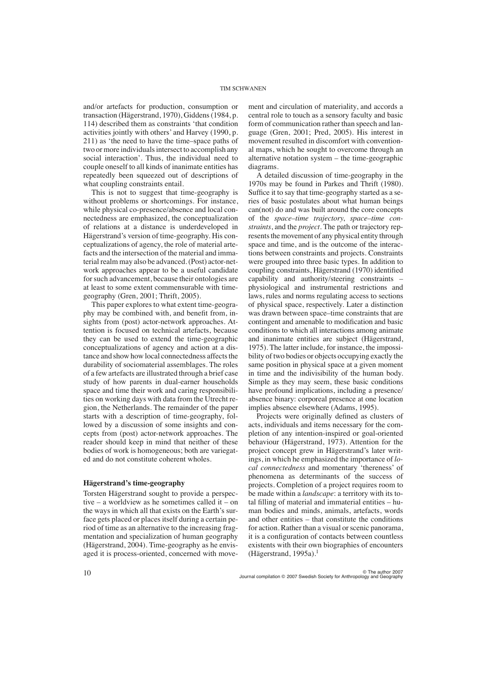and/or artefacts for production, consumption or transaction (Hägerstrand, 1970), Giddens (1984, p. 114) described them as constraints 'that condition activities jointly with others' and Harvey (1990, p. 211) as 'the need to have the time–space paths of two or more individuals intersect to accomplish any social interaction'. Thus, the individual need to couple oneself to all kinds of inanimate entities has repeatedly been squeezed out of descriptions of what coupling constraints entail.

This is not to suggest that time-geography is without problems or shortcomings. For instance, while physical co-presence/absence and local connectedness are emphasized, the conceptualization of relations at a distance is underdeveloped in Hägerstrand's version of time-geography. His conceptualizations of agency, the role of material artefacts and the intersection of the material and immaterial realm may also be advanced. (Post) actor-network approaches appear to be a useful candidate for such advancement, because their ontologies are at least to some extent commensurable with timegeography (Gren, 2001; Thrift, 2005).

This paper explores to what extent time-geography may be combined with, and benefit from, insights from (post) actor-network approaches. Attention is focused on technical artefacts, because they can be used to extend the time-geographic conceptualizations of agency and action at a distance and show how local connectedness affects the durability of sociomaterial assemblages. The roles of a few artefacts are illustrated through a brief case study of how parents in dual-earner households space and time their work and caring responsibilities on working days with data from the Utrecht region, the Netherlands. The remainder of the paper starts with a description of time-geography, followed by a discussion of some insights and concepts from (post) actor-network approaches. The reader should keep in mind that neither of these bodies of work is homogeneous; both are variegated and do not constitute coherent wholes.

## **Hägerstrand's time-geography**

Torsten Hägerstrand sought to provide a perspective – a worldview as he sometimes called it – on the ways in which all that exists on the Earth's surface gets placed or places itself during a certain period of time as an alternative to the increasing fragmentation and specialization of human geography (Hägerstrand, 2004). Time-geography as he envisaged it is process-oriented, concerned with movement and circulation of materiality, and accords a central role to touch as a sensory faculty and basic form of communication rather than speech and language (Gren, 2001; Pred, 2005). His interest in movement resulted in discomfort with conventional maps, which he sought to overcome through an alternative notation system – the time-geographic diagrams.

A detailed discussion of time-geography in the 1970s may be found in Parkes and Thrift (1980). Suffice it to say that time-geography started as a series of basic postulates about what human beings can(not) do and was built around the core concepts of the *space–time trajectory*, *space–time constraints*, and the *project*. The path or trajectory represents the movement of any physical entity through space and time, and is the outcome of the interactions between constraints and projects. Constraints were grouped into three basic types. In addition to coupling constraints, Hägerstrand (1970) identified capability and authority/steering constraints – physiological and instrumental restrictions and laws, rules and norms regulating access to sections of physical space, respectively. Later a distinction was drawn between space–time constraints that are contingent and amenable to modification and basic conditions to which all interactions among animate and inanimate entities are subject (Hägerstrand, 1975). The latter include, for instance, the impossibility of two bodies or objects occupying exactly the same position in physical space at a given moment in time and the indivisibility of the human body. Simple as they may seem, these basic conditions have profound implications, including a presence/ absence binary: corporeal presence at one location implies absence elsewhere (Adams, 1995).

Projects were originally defined as clusters of acts, individuals and items necessary for the completion of any intention-inspired or goal-oriented behaviour (Hägerstrand, 1973). Attention for the project concept grew in Hägerstrand's later writings, in which he emphasized the importance of *local connectedness* and momentary 'thereness' of phenomena as determinants of the success of projects. Completion of a project requires room to be made within a *landscape*: a territory with its total filling of material and immaterial entities – human bodies and minds, animals, artefacts, words and other entities – that constitute the conditions for action. Rather than a visual or scenic panorama, it is a configuration of contacts between countless existents with their own biographies of encounters (Hägerstrand, 1995a). $<sup>1</sup>$ </sup>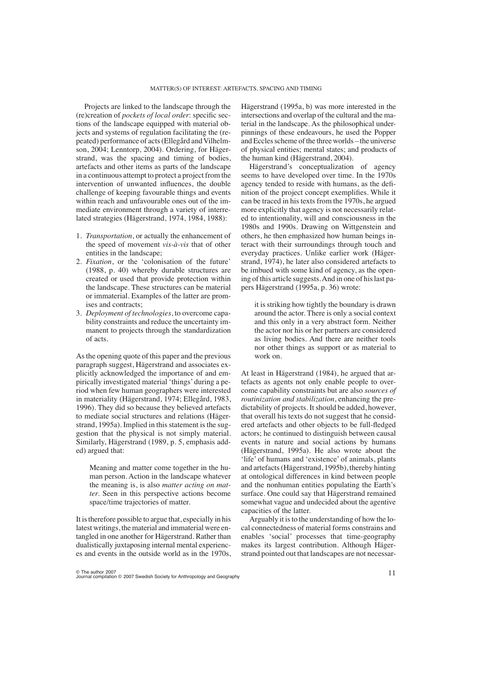Projects are linked to the landscape through the (re)creation of *pockets of local order*: specific sections of the landscape equipped with material objects and systems of regulation facilitating the (repeated) performance of acts (Ellegård and Vilhelmson, 2004; Lenntorp, 2004). Ordering, for Hägerstrand, was the spacing and timing of bodies, artefacts and other items as parts of the landscape in a continuous attempt to protect a project from the intervention of unwanted influences, the double challenge of keeping favourable things and events within reach and unfavourable ones out of the immediate environment through a variety of interrelated strategies (Hägerstrand, 1974, 1984, 1988):

- 1. *Transportation*, or actually the enhancement of the speed of movement *vis-à-vis* that of other entities in the landscape;
- 2. *Fixation*, or the 'colonisation of the future' (1988, p. 40) whereby durable structures are created or used that provide protection within the landscape. These structures can be material or immaterial. Examples of the latter are promises and contracts;
- 3. *Deployment of technologies*, to overcome capability constraints and reduce the uncertainty immanent to projects through the standardization of acts.

As the opening quote of this paper and the previous paragraph suggest, Hägerstrand and associates explicitly acknowledged the importance of and empirically investigated material 'things' during a period when few human geographers were interested in materiality (Hägerstrand, 1974; Ellegård, 1983, 1996). They did so because they believed artefacts to mediate social structures and relations (Hägerstrand, 1995a). Implied in this statement is the suggestion that the physical is not simply material. Similarly, Hägerstrand (1989, p. 5, emphasis added) argued that:

Meaning and matter come together in the human person. Action in the landscape whatever the meaning is, is also *matter acting on matter*. Seen in this perspective actions become space/time trajectories of matter.

It is therefore possible to argue that, especially in his latest writings, the material and immaterial were entangled in one another for Hägerstrand. Rather than dualistically juxtaposing internal mental experiences and events in the outside world as in the 1970s, Hägerstrand (1995a, b) was more interested in the intersections and overlap of the cultural and the material in the landscape. As the philosophical underpinnings of these endeavours, he used the Popper and Eccles scheme of the three worlds – the universe of physical entities; mental states; and products of the human kind (Hägerstrand, 2004).

Hägerstrand's conceptualization of agency seems to have developed over time. In the 1970s agency tended to reside with humans, as the definition of the project concept exemplifies. While it can be traced in his texts from the 1970s, he argued more explicitly that agency is not necessarily related to intentionality, will and consciousness in the 1980s and 1990s. Drawing on Wittgenstein and others, he then emphasized how human beings interact with their surroundings through touch and everyday practices. Unlike earlier work (Hägerstrand, 1974), he later also considered artefacts to be imbued with some kind of agency, as the opening of this article suggests. And in one of his last papers Hägerstrand (1995a, p. 36) wrote:

it is striking how tightly the boundary is drawn around the actor. There is only a social context and this only in a very abstract form. Neither the actor nor his or her partners are considered as living bodies. And there are neither tools nor other things as support or as material to work on.

At least in Hägerstrand (1984), he argued that artefacts as agents not only enable people to overcome capability constraints but are also *sources of routinization and stabilization*, enhancing the predictability of projects. It should be added, however, that overall his texts do not suggest that he considered artefacts and other objects to be full-fledged actors; he continued to distinguish between causal events in nature and social actions by humans (Hägerstrand, 1995a). He also wrote about the 'life' of humans and 'existence' of animals, plants and artefacts (Hägerstrand, 1995b), thereby hinting at ontological differences in kind between people and the nonhuman entities populating the Earth's surface. One could say that Hägerstrand remained somewhat vague and undecided about the agentive capacities of the latter.

Arguably it is to the understanding of how the local connectedness of material forms constrains and enables 'social' processes that time-geography makes its largest contribution. Although Hägerstrand pointed out that landscapes are not necessar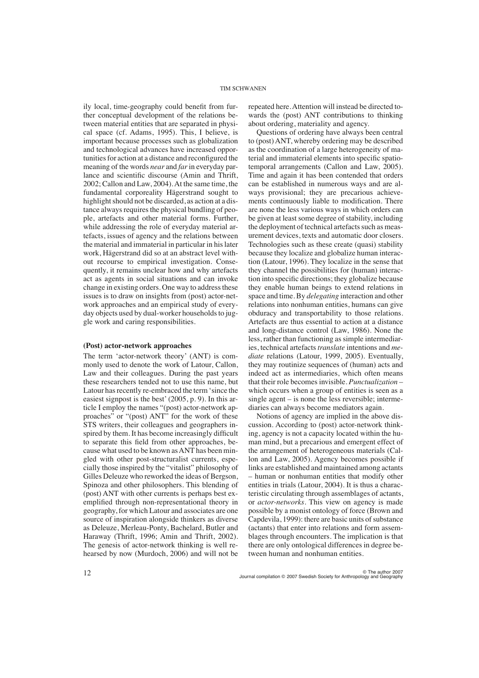ily local, time-geography could benefit from further conceptual development of the relations between material entities that are separated in physical space (cf. Adams, 1995). This, I believe, is important because processes such as globalization and technological advances have increased opportunities for action at a distance and reconfigured the meaning of the words *near* and *far* in everyday parlance and scientific discourse (Amin and Thrift, 2002; Callon and Law, 2004). At the same time, the fundamental corporeality Hägerstrand sought to highlight should not be discarded, as action at a distance always requires the physical bundling of people, artefacts and other material forms. Further, while addressing the role of everyday material artefacts, issues of agency and the relations between the material and immaterial in particular in his later work, Hägerstrand did so at an abstract level without recourse to empirical investigation. Consequently, it remains unclear how and why artefacts act as agents in social situations and can invoke change in existing orders. One way to address these issues is to draw on insights from (post) actor-network approaches and an empirical study of everyday objects used by dual-worker households to juggle work and caring responsibilities.

#### **(Post) actor-network approaches**

The term 'actor-network theory' (ANT) is commonly used to denote the work of Latour, Callon, Law and their colleagues. During the past years these researchers tended not to use this name, but Latour has recently re-embraced the term 'since the easiest signpost is the best' (2005, p. 9). In this article I employ the names "(post) actor-network approaches" or "(post) ANT" for the work of these STS writers, their colleagues and geographers inspired by them. It has become increasingly difficult to separate this field from other approaches, because what used to be known as ANT has been mingled with other post-structuralist currents, especially those inspired by the "vitalist" philosophy of Gilles Deleuze who reworked the ideas of Bergson, Spinoza and other philosophers. This blending of (post) ANT with other currents is perhaps best exemplified through non-representational theory in geography, for which Latour and associates are one source of inspiration alongside thinkers as diverse as Deleuze, Merleau-Ponty, Bachelard, Butler and Haraway (Thrift, 1996; Amin and Thrift, 2002). The genesis of actor-network thinking is well rehearsed by now (Murdoch, 2006) and will not be repeated here. Attention will instead be directed towards the (post) ANT contributions to thinking about ordering, materiality and agency.

Questions of ordering have always been central to (post) ANT, whereby ordering may be described as the coordination of a large heterogeneity of material and immaterial elements into specific spatiotemporal arrangements (Callon and Law, 2005). Time and again it has been contended that orders can be established in numerous ways and are always provisional; they are precarious achievements continuously liable to modification. There are none the less various ways in which orders can be given at least some degree of stability, including the deployment of technical artefacts such as measurement devices, texts and automatic door closers. Technologies such as these create (quasi) stability because they localize and globalize human interaction (Latour, 1996). They localize in the sense that they channel the possibilities for (human) interaction into specific directions; they globalize because they enable human beings to extend relations in space and time. By *delegating* interaction and other relations into nonhuman entities, humans can give obduracy and transportability to those relations. Artefacts are thus essential to action at a distance and long-distance control (Law, 1986). None the less, rather than functioning as simple intermediaries, technical artefacts *translate* intentions and *mediate* relations (Latour, 1999, 2005). Eventually, they may routinize sequences of (human) acts and indeed act as intermediaries, which often means that their role becomes invisible. *Punctualization* – which occurs when a group of entities is seen as a single agent – is none the less reversible; intermediaries can always become mediators again.

Notions of agency are implied in the above discussion. According to (post) actor-network thinking, agency is not a capacity located within the human mind, but a precarious and emergent effect of the arrangement of heterogeneous materials (Callon and Law, 2005). Agency becomes possible if links are established and maintained among actants – human or nonhuman entities that modify other entities in trials (Latour, 2004). It is thus a characteristic circulating through assemblages of actants, or *actor-networks*. This view on agency is made possible by a monist ontology of force (Brown and Capdevila, 1999): there are basic units of substance (actants) that enter into relations and form assemblages through encounters. The implication is that there are only ontological differences in degree between human and nonhuman entities.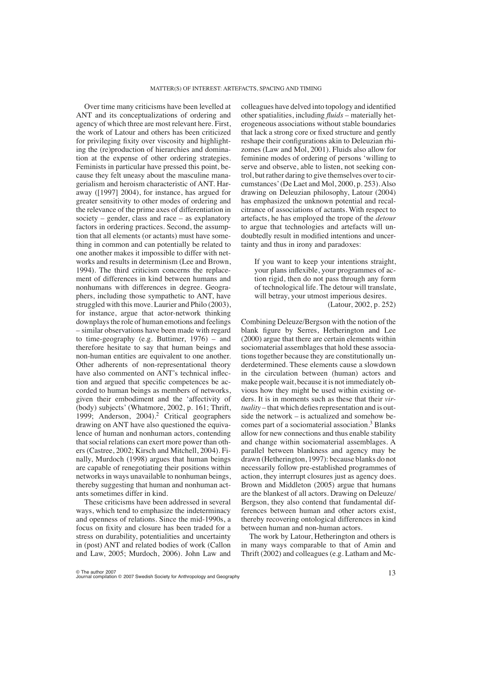Over time many criticisms have been levelled at ANT and its conceptualizations of ordering and agency of which three are most relevant here. First, the work of Latour and others has been criticized for privileging fixity over viscosity and highlighting the (re)production of hierarchies and domination at the expense of other ordering strategies. Feminists in particular have pressed this point, because they felt uneasy about the masculine managerialism and heroism characteristic of ANT. Haraway ([1997] 2004), for instance, has argued for greater sensitivity to other modes of ordering and the relevance of the prime axes of differentiation in society – gender, class and race – as explanatory factors in ordering practices. Second, the assumption that all elements (or actants) must have something in common and can potentially be related to one another makes it impossible to differ with networks and results in determinism (Lee and Brown, 1994). The third criticism concerns the replacement of differences in kind between humans and nonhumans with differences in degree. Geographers, including those sympathetic to ANT, have struggled with this move. Laurier and Philo (2003), for instance, argue that actor-network thinking downplays the role of human emotions and feelings – similar observations have been made with regard to time-geography (e.g. Buttimer, 1976) – and therefore hesitate to say that human beings and non-human entities are equivalent to one another. Other adherents of non-representational theory have also commented on ANT's technical inflection and argued that specific competences be accorded to human beings as members of networks, given their embodiment and the 'affectivity of (body) subjects' (Whatmore, 2002, p. 161; Thrift, 1999; Anderson, 2004).<sup>2</sup> Critical geographers drawing on ANT have also questioned the equivalence of human and nonhuman actors, contending that social relations can exert more power than others (Castree, 2002; Kirsch and Mitchell, 2004). Finally, Murdoch (1998) argues that human beings are capable of renegotiating their positions within networks in ways unavailable to nonhuman beings, thereby suggesting that human and nonhuman actants sometimes differ in kind.

These criticisms have been addressed in several ways, which tend to emphasize the indeterminacy and openness of relations. Since the mid-1990s, a focus on fixity and closure has been traded for a stress on durability, potentialities and uncertainty in (post) ANT and related bodies of work (Callon and Law, 2005; Murdoch, 2006). John Law and

colleagues have delved into topology and identified other spatialities, including *fluids* – materially heterogeneous associations without stable boundaries that lack a strong core or fixed structure and gently reshape their configurations akin to Deleuzian rhizomes (Law and Mol, 2001). Fluids also allow for feminine modes of ordering of persons 'willing to serve and observe, able to listen, not seeking control, but rather daring to give themselves over to circumstances' (De Laet and Mol, 2000, p. 253). Also drawing on Deleuzian philosophy, Latour (2004) has emphasized the unknown potential and recalcitrance of associations of actants. With respect to artefacts, he has employed the trope of the *detour* to argue that technologies and artefacts will undoubtedly result in modified intentions and uncertainty and thus in irony and paradoxes:

If you want to keep your intentions straight, your plans inflexible, your programmes of action rigid, then do not pass through any form of technological life. The detour will translate, will betray, your utmost imperious desires. (Latour, 2002, p. 252)

Combining Deleuze/Bergson with the notion of the blank figure by Serres, Hetherington and Lee (2000) argue that there are certain elements within sociomaterial assemblages that hold these associations together because they are constitutionally underdetermined. These elements cause a slowdown in the circulation between (human) actors and make people wait, because it is not immediately obvious how they might be used within existing orders. It is in moments such as these that their *virtuality* – that which defies representation and is outside the network – is actualized and somehow becomes part of a sociomaterial association.<sup>3</sup> Blanks allow for new connections and thus enable stability and change within sociomaterial assemblages. A parallel between blankness and agency may be drawn (Hetherington, 1997): because blanks do not necessarily follow pre-established programmes of action, they interrupt closures just as agency does. Brown and Middleton (2005) argue that humans are the blankest of all actors. Drawing on Deleuze/ Bergson, they also contend that fundamental differences between human and other actors exist, thereby recovering ontological differences in kind between human and non-human actors.

The work by Latour, Hetherington and others is in many ways comparable to that of Amin and Thrift (2002) and colleagues (e.g. Latham and Mc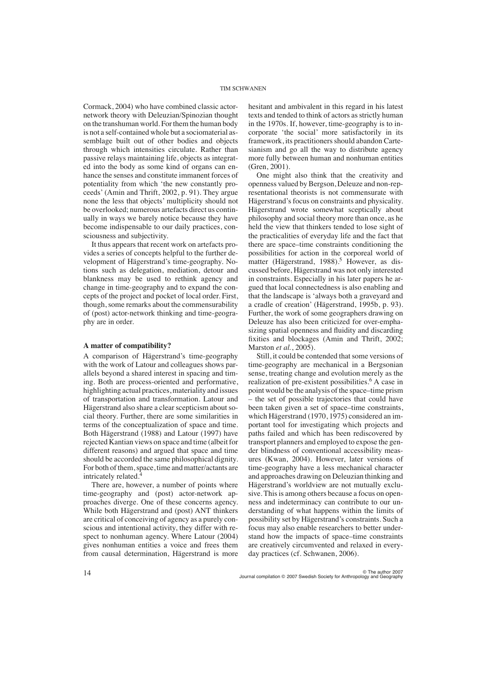Cormack, 2004) who have combined classic actornetwork theory with Deleuzian/Spinozian thought on the transhuman world. For them the human body is not a self-contained whole but a sociomaterial assemblage built out of other bodies and objects through which intensities circulate. Rather than passive relays maintaining life, objects as integrated into the body as some kind of organs can enhance the senses and constitute immanent forces of potentiality from which 'the new constantly proceeds' (Amin and Thrift, 2002, p. 91). They argue none the less that objects' multiplicity should not be overlooked; numerous artefacts direct us continually in ways we barely notice because they have become indispensable to our daily practices, consciousness and subjectivity.

It thus appears that recent work on artefacts provides a series of concepts helpful to the further development of Hägerstrand's time-geography. Notions such as delegation, mediation, detour and blankness may be used to rethink agency and change in time-geography and to expand the concepts of the project and pocket of local order. First, though, some remarks about the commensurability of (post) actor-network thinking and time-geography are in order.

# **A matter of compatibility?**

A comparison of Hägerstrand's time-geography with the work of Latour and colleagues shows parallels beyond a shared interest in spacing and timing. Both are process-oriented and performative, highlighting actual practices, materiality and issues of transportation and transformation. Latour and Hägerstrand also share a clear scepticism about social theory. Further, there are some similarities in terms of the conceptualization of space and time. Both Hägerstrand (1988) and Latour (1997) have rejected Kantian views on space and time (albeit for different reasons) and argued that space and time should be accorded the same philosophical dignity. For both of them, space, time and matter/actants are intricately related.4

There are, however, a number of points where time-geography and (post) actor-network approaches diverge. One of these concerns agency. While both Hägerstrand and (post) ANT thinkers are critical of conceiving of agency as a purely conscious and intentional activity, they differ with respect to nonhuman agency. Where Latour (2004) gives nonhuman entities a voice and frees them from causal determination, Hägerstrand is more hesitant and ambivalent in this regard in his latest texts and tended to think of actors as strictly human in the 1970s. If, however, time-geography is to incorporate 'the social' more satisfactorily in its framework, its practitioners should abandon Cartesianism and go all the way to distribute agency more fully between human and nonhuman entities (Gren, 2001).

One might also think that the creativity and openness valued by Bergson, Deleuze and non-representational theorists is not commensurate with Hägerstrand's focus on constraints and physicality. Hägerstrand wrote somewhat sceptically about philosophy and social theory more than once, as he held the view that thinkers tended to lose sight of the practicalities of everyday life and the fact that there are space–time constraints conditioning the possibilities for action in the corporeal world of matter (Hägerstrand, 1988).<sup>5</sup> However, as discussed before, Hägerstrand was not only interested in constraints. Especially in his later papers he argued that local connectedness is also enabling and that the landscape is 'always both a graveyard and a cradle of creation' (Hägerstrand, 1995b, p. 93). Further, the work of some geographers drawing on Deleuze has also been criticized for over-emphasizing spatial openness and fluidity and discarding fixities and blockages (Amin and Thrift, 2002; Marston *et al.*, 2005).

Still, it could be contended that some versions of time-geography are mechanical in a Bergsonian sense, treating change and evolution merely as the realization of pre-existent possibilities.<sup>6</sup> A case in point would be the analysis of the space–time prism – the set of possible trajectories that could have been taken given a set of space–time constraints, which Hägerstrand (1970, 1975) considered an important tool for investigating which projects and paths failed and which has been rediscovered by transport planners and employed to expose the gender blindness of conventional accessibility measures (Kwan, 2004). However, later versions of time-geography have a less mechanical character and approaches drawing on Deleuzian thinking and Hägerstrand's worldview are not mutually exclusive. This is among others because a focus on openness and indeterminacy can contribute to our understanding of what happens within the limits of possibility set by Hägerstrand's constraints. Such a focus may also enable researchers to better understand how the impacts of space–time constraints are creatively circumvented and relaxed in everyday practices (cf. Schwanen, 2006).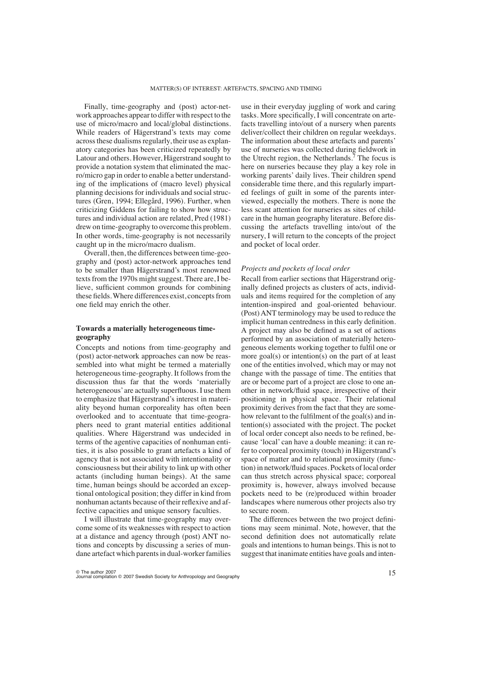Finally, time-geography and (post) actor-network approaches appear to differ with respect to the use of micro/macro and local/global distinctions. While readers of Hägerstrand's texts may come across these dualisms regularly, their use as explanatory categories has been criticized repeatedly by Latour and others. However, Hägerstrand sought to provide a notation system that eliminated the macro/micro gap in order to enable a better understanding of the implications of (macro level) physical planning decisions for individuals and social structures (Gren, 1994; Ellegård, 1996). Further, when criticizing Giddens for failing to show how structures and individual action are related, Pred (1981) drew on time-geography to overcome this problem. In other words, time-geography is not necessarily caught up in the micro/macro dualism.

Overall, then, the differences between time-geography and (post) actor-network approaches tend to be smaller than Hägerstrand's most renowned texts from the 1970s might suggest. There are, I believe, sufficient common grounds for combining these fields. Where differences exist, concepts from one field may enrich the other.

# **Towards a materially heterogeneous timegeography**

Concepts and notions from time-geography and (post) actor-network approaches can now be reassembled into what might be termed a materially heterogeneous time-geography. It follows from the discussion thus far that the words 'materially heterogeneous' are actually superfluous. I use them to emphasize that Hägerstrand's interest in materiality beyond human corporeality has often been overlooked and to accentuate that time-geographers need to grant material entities additional qualities. Where Hägerstrand was undecided in terms of the agentive capacities of nonhuman entities, it is also possible to grant artefacts a kind of agency that is not associated with intentionality or consciousness but their ability to link up with other actants (including human beings). At the same time, human beings should be accorded an exceptional ontological position; they differ in kind from nonhuman actants because of their reflexive and affective capacities and unique sensory faculties.

I will illustrate that time-geography may overcome some of its weaknesses with respect to action at a distance and agency through (post) ANT notions and concepts by discussing a series of mundane artefact which parents in dual-worker families

use in their everyday juggling of work and caring tasks. More specifically, I will concentrate on artefacts travelling into/out of a nursery when parents deliver/collect their children on regular weekdays. The information about these artefacts and parents' use of nurseries was collected during fieldwork in the Utrecht region, the Netherlands.<sup>7</sup> The focus is here on nurseries because they play a key role in working parents' daily lives. Their children spend considerable time there, and this regularly imparted feelings of guilt in some of the parents interviewed, especially the mothers. There is none the less scant attention for nurseries as sites of childcare in the human geography literature. Before discussing the artefacts travelling into/out of the nursery, I will return to the concepts of the project and pocket of local order.

# *Projects and pockets of local order*

Recall from earlier sections that Hägerstrand originally defined projects as clusters of acts, individuals and items required for the completion of any intention-inspired and goal-oriented behaviour. (Post) ANT terminology may be used to reduce the implicit human centredness in this early definition. A project may also be defined as a set of actions performed by an association of materially heterogeneous elements working together to fulfil one or more goal(s) or intention(s) on the part of at least one of the entities involved, which may or may not change with the passage of time. The entities that are or become part of a project are close to one another in network/fluid space, irrespective of their positioning in physical space. Their relational proximity derives from the fact that they are somehow relevant to the fulfilment of the goal(s) and intention(s) associated with the project. The pocket of local order concept also needs to be refined, because 'local' can have a double meaning: it can refer to corporeal proximity (touch) in Hägerstrand's space of matter and to relational proximity (function) in network/fluid spaces. Pockets of local order can thus stretch across physical space; corporeal proximity is, however, always involved because pockets need to be (re)produced within broader landscapes where numerous other projects also try to secure room.

The differences between the two project definitions may seem minimal. Note, however, that the second definition does not automatically relate goals and intentions to human beings. This is not to suggest that inanimate entities have goals and inten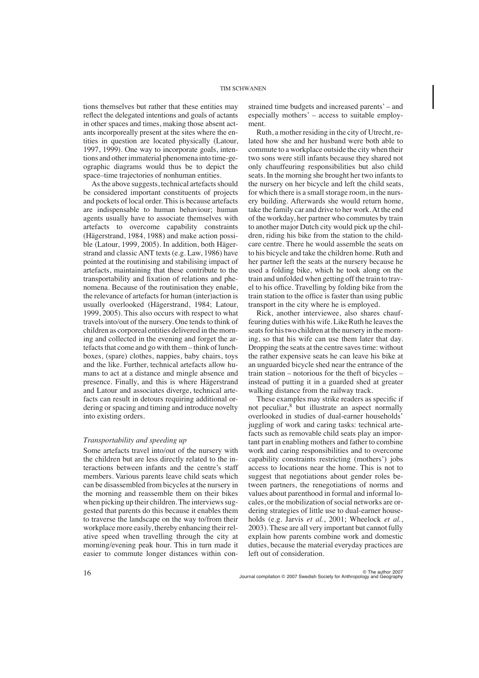tions themselves but rather that these entities may reflect the delegated intentions and goals of actants in other spaces and times, making those absent actants incorporeally present at the sites where the entities in question are located physically (Latour, 1997, 1999). One way to incorporate goals, intentions and other immaterial phenomena into time-geographic diagrams would thus be to depict the space–time trajectories of nonhuman entities.

As the above suggests, technical artefacts should be considered important constituents of projects and pockets of local order. This is because artefacts are indispensable to human behaviour; human agents usually have to associate themselves with artefacts to overcome capability constraints (Hägerstrand, 1984, 1988) and make action possible (Latour, 1999, 2005). In addition, both Hägerstrand and classic ANT texts (e.g. Law, 1986) have pointed at the routinising and stabilising impact of artefacts, maintaining that these contribute to the transportability and fixation of relations and phenomena. Because of the routinisation they enable, the relevance of artefacts for human (inter)action is usually overlooked (Hägerstrand, 1984; Latour, 1999, 2005). This also occurs with respect to what travels into/out of the nursery. One tends to think of children as corporeal entities delivered in the morning and collected in the evening and forget the artefacts that come and go with them – think of lunchboxes, (spare) clothes, nappies, baby chairs, toys and the like. Further, technical artefacts allow humans to act at a distance and mingle absence and presence. Finally, and this is where Hägerstrand and Latour and associates diverge, technical artefacts can result in detours requiring additional ordering or spacing and timing and introduce novelty into existing orders.

# *Transportability and speeding up*

Some artefacts travel into/out of the nursery with the children but are less directly related to the interactions between infants and the centre's staff members. Various parents leave child seats which can be disassembled from bicycles at the nursery in the morning and reassemble them on their bikes when picking up their children. The interviews suggested that parents do this because it enables them to traverse the landscape on the way to/from their workplace more easily, thereby enhancing their relative speed when travelling through the city at morning/evening peak hour. This in turn made it easier to commute longer distances within constrained time budgets and increased parents' – and especially mothers' – access to suitable employment.

Ruth, a mother residing in the city of Utrecht, related how she and her husband were both able to commute to a workplace outside the city when their two sons were still infants because they shared not only chauffeuring responsibilities but also child seats. In the morning she brought her two infants to the nursery on her bicycle and left the child seats, for which there is a small storage room, in the nursery building. Afterwards she would return home, take the family car and drive to her work. At the end of the workday, her partner who commutes by train to another major Dutch city would pick up the children, riding his bike from the station to the childcare centre. There he would assemble the seats on to his bicycle and take the children home. Ruth and her partner left the seats at the nursery because he used a folding bike, which he took along on the train and unfolded when getting off the train to travel to his office. Travelling by folding bike from the train station to the office is faster than using public transport in the city where he is employed.

Rick, another interviewee, also shares chauffeuring duties with his wife. Like Ruth he leaves the seats for his two children at the nursery in the morning, so that his wife can use them later that day. Dropping the seats at the centre saves time: without the rather expensive seats he can leave his bike at an unguarded bicycle shed near the entrance of the train station – notorious for the theft of bicycles – instead of putting it in a guarded shed at greater walking distance from the railway track.

These examples may strike readers as specific if not peculiar,<sup>8</sup> but illustrate an aspect normally overlooked in studies of dual-earner households' juggling of work and caring tasks: technical artefacts such as removable child seats play an important part in enabling mothers and father to combine work and caring responsibilities and to overcome capability constraints restricting (mothers') jobs access to locations near the home. This is not to suggest that negotiations about gender roles between partners, the renegotiations of norms and values about parenthood in formal and informal locales, or the mobilization of social networks are ordering strategies of little use to dual-earner households (e.g. Jarvis *et al.*, 2001; Wheelock *et al.*, 2003). These are all very important but cannot fully explain how parents combine work and domestic duties, because the material everyday practices are left out of consideration.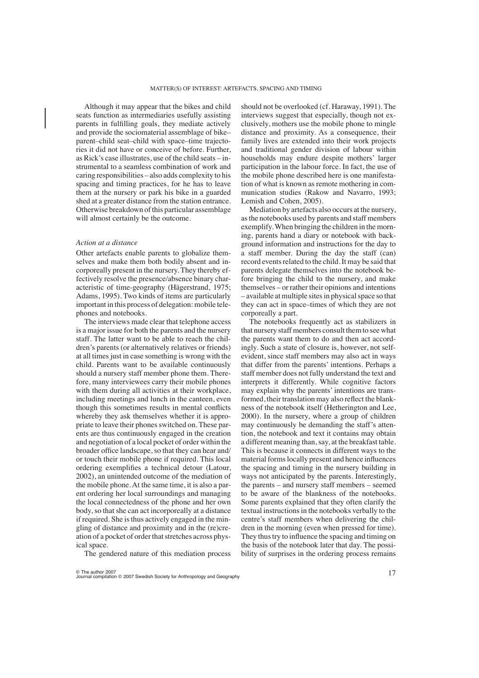Although it may appear that the bikes and child seats function as intermediaries usefully assisting parents in fulfilling goals, they mediate actively and provide the sociomaterial assemblage of bike– parent–child seat–child with space–time trajectories it did not have or conceive of before. Further, as Rick's case illustrates, use of the child seats – instrumental to a seamless combination of work and caring responsibilities – also adds complexity to his spacing and timing practices, for he has to leave them at the nursery or park his bike in a guarded shed at a greater distance from the station entrance. Otherwise breakdown of this particular assemblage will almost certainly be the outcome.

#### *Action at a distance*

Other artefacts enable parents to globalize themselves and make them both bodily absent and incorporeally present in the nursery. They thereby effectively resolve the presence/absence binary characteristic of time-geography (Hägerstrand, 1975; Adams, 1995). Two kinds of items are particularly important in this process of delegation: mobile telephones and notebooks.

The interviews made clear that telephone access is a major issue for both the parents and the nursery staff. The latter want to be able to reach the children's parents (or alternatively relatives or friends) at all times just in case something is wrong with the child. Parents want to be available continuously should a nursery staff member phone them. Therefore, many interviewees carry their mobile phones with them during all activities at their workplace, including meetings and lunch in the canteen, even though this sometimes results in mental conflicts whereby they ask themselves whether it is appropriate to leave their phones switched on. These parents are thus continuously engaged in the creation and negotiation of a local pocket of order within the broader office landscape, so that they can hear and/ or touch their mobile phone if required. This local ordering exemplifies a technical detour (Latour, 2002), an unintended outcome of the mediation of the mobile phone. At the same time, it is also a parent ordering her local surroundings and managing the local connectedness of the phone and her own body, so that she can act incorporeally at a distance if required. She is thus actively engaged in the mingling of distance and proximity and in the (re)creation of a pocket of order that stretches across physical space.

The gendered nature of this mediation process

should not be overlooked (cf. Haraway, 1991). The interviews suggest that especially, though not exclusively, mothers use the mobile phone to mingle distance and proximity. As a consequence, their family lives are extended into their work projects and traditional gender division of labour within households may endure despite mothers' larger participation in the labour force. In fact, the use of the mobile phone described here is one manifestation of what is known as remote mothering in communication studies (Rakow and Navarro, 1993; Lemish and Cohen, 2005).

Mediation by artefacts also occurs at the nursery, as the notebooks used by parents and staff members exemplify. When bringing the children in the morning, parents hand a diary or notebook with background information and instructions for the day to a staff member. During the day the staff (can) record events related to the child. It may be said that parents delegate themselves into the notebook before bringing the child to the nursery, and make themselves – or rather their opinions and intentions – available at multiple sites in physical space so that they can act in space–times of which they are not corporeally a part.

The notebooks frequently act as stabilizers in that nursery staff members consult them to see what the parents want them to do and then act accordingly. Such a state of closure is, however, not selfevident, since staff members may also act in ways that differ from the parents' intentions. Perhaps a staff member does not fully understand the text and interprets it differently. While cognitive factors may explain why the parents' intentions are transformed, their translation may also reflect the blankness of the notebook itself (Hetherington and Lee, 2000). In the nursery, where a group of children may continuously be demanding the staff's attention, the notebook and text it contains may obtain a different meaning than, say, at the breakfast table. This is because it connects in different ways to the material forms locally present and hence influences the spacing and timing in the nursery building in ways not anticipated by the parents. Interestingly, the parents – and nursery staff members – seemed to be aware of the blankness of the notebooks. Some parents explained that they often clarify the textual instructions in the notebooks verbally to the centre's staff members when delivering the children in the morning (even when pressed for time). They thus try to influence the spacing and timing on the basis of the notebook later that day. The possibility of surprises in the ordering process remains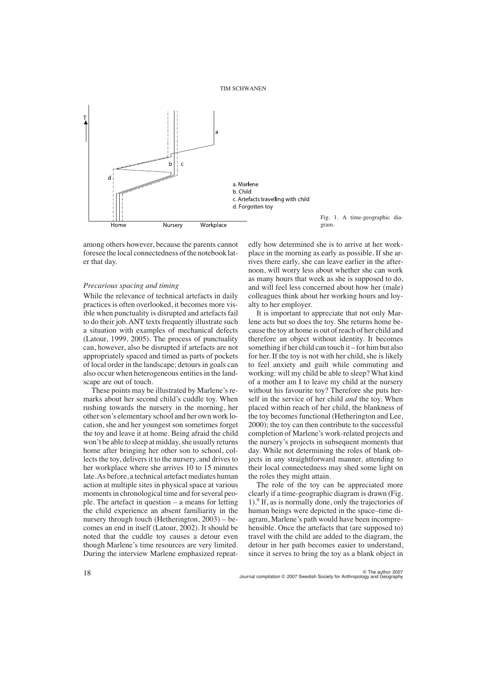

Fig. 1. A time-geographic diagram.

among others however, because the parents cannot foresee the local connectedness of the notebook later that day.

#### *Precarious spacing and timing*

While the relevance of technical artefacts in daily practices is often overlooked, it becomes more visible when punctuality is disrupted and artefacts fail to do their job. ANT texts frequently illustrate such a situation with examples of mechanical defects (Latour, 1999, 2005). The process of punctuality can, however, also be disrupted if artefacts are not appropriately spaced and timed as parts of pockets of local order in the landscape; detours in goals can also occur when heterogeneous entities in the landscape are out of touch.

These points may be illustrated by Marlene's remarks about her second child's cuddle toy. When rushing towards the nursery in the morning, her other son's elementary school and her own work location, she and her youngest son sometimes forget the toy and leave it at home. Being afraid the child won't be able to sleep at midday, she usually returns home after bringing her other son to school, collects the toy, delivers it to the nursery, and drives to her workplace where she arrives 10 to 15 minutes late. As before, a technical artefact mediates human action at multiple sites in physical space at various moments in chronological time and for several people. The artefact in question – a means for letting the child experience an absent familiarity in the nursery through touch (Hetherington, 2003) – becomes an end in itself (Latour, 2002). It should be noted that the cuddle toy causes a detour even though Marlene's time resources are very limited. During the interview Marlene emphasized repeat-

edly how determined she is to arrive at her workplace in the morning as early as possible. If she arrives there early, she can leave earlier in the afternoon, will worry less about whether she can work as many hours that week as she is supposed to do, and will feel less concerned about how her (male) colleagues think about her working hours and loyalty to her employer.

It is important to appreciate that not only Marlene acts but so does the toy. She returns home because the toy at home is out of reach of her child and therefore an object without identity. It becomes something if her child can touch it – for him but also for her. If the toy is not with her child, she is likely to feel anxiety and guilt while commuting and working: will my child be able to sleep? What kind of a mother am I to leave my child at the nursery without his favourite toy? Therefore she puts herself in the service of her child *and* the toy. When placed within reach of her child, the blankness of the toy becomes functional (Hetherington and Lee, 2000); the toy can then contribute to the successful completion of Marlene's work-related projects and the nursery's projects in subsequent moments that day. While not determining the roles of blank objects in any straightforward manner, attending to their local connectedness may shed some light on the roles they might attain.

The role of the toy can be appreciated more clearly if a time-geographic diagram is drawn (Fig.  $1$ ). If, as is normally done, only the trajectories of human beings were depicted in the space–time diagram, Marlene's path would have been incomprehensible. Once the artefacts that (are supposed to) travel with the child are added to the diagram, the detour in her path becomes easier to understand, since it serves to bring the toy as a blank object in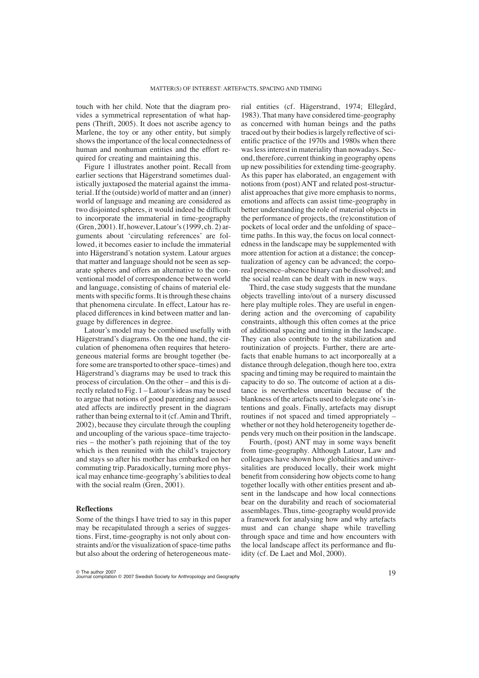touch with her child. Note that the diagram provides a symmetrical representation of what happens (Thrift, 2005). It does not ascribe agency to Marlene, the toy or any other entity, but simply shows the importance of the local connectedness of human and nonhuman entities and the effort required for creating and maintaining this.

Figure 1 illustrates another point. Recall from earlier sections that Hägerstrand sometimes dualistically juxtaposed the material against the immaterial. If the (outside) world of matter and an (inner) world of language and meaning are considered as two disjointed spheres, it would indeed be difficult to incorporate the immaterial in time-geography (Gren, 2001). If, however, Latour's (1999, ch. 2) arguments about 'circulating references' are followed, it becomes easier to include the immaterial into Hägerstrand's notation system. Latour argues that matter and language should not be seen as separate spheres and offers an alternative to the conventional model of correspondence between world and language, consisting of chains of material elements with specific forms. It is through these chains that phenomena circulate. In effect, Latour has replaced differences in kind between matter and language by differences in degree.

Latour's model may be combined usefully with Hägerstrand's diagrams. On the one hand, the circulation of phenomena often requires that heterogeneous material forms are brought together (before some are transported to other space–times) and Hägerstrand's diagrams may be used to track this process of circulation. On the other – and this is directly related to Fig. 1 – Latour's ideas may be used to argue that notions of good parenting and associated affects are indirectly present in the diagram rather than being external to it (cf. Amin and Thrift, 2002), because they circulate through the coupling and uncoupling of the various space–time trajectories – the mother's path rejoining that of the toy which is then reunited with the child's trajectory and stays so after his mother has embarked on her commuting trip. Paradoxically, turning more physical may enhance time-geography's abilities to deal with the social realm (Gren, 2001).

## **Reflections**

Some of the things I have tried to say in this paper may be recapitulated through a series of suggestions. First, time-geography is not only about constraints and/or the visualization of space-time paths but also about the ordering of heterogeneous material entities (cf. Hägerstrand, 1974; Ellegård, 1983). That many have considered time-geography as concerned with human beings and the paths traced out by their bodies is largely reflective of scientific practice of the 1970s and 1980s when there was less interest in materiality than nowadays. Second, therefore, current thinking in geography opens up new possibilities for extending time-geography. As this paper has elaborated, an engagement with notions from (post) ANT and related post-structuralist approaches that give more emphasis to norms, emotions and affects can assist time-geography in better understanding the role of material objects in the performance of projects, the (re)constitution of pockets of local order and the unfolding of space– time paths. In this way, the focus on local connectedness in the landscape may be supplemented with more attention for action at a distance; the conceptualization of agency can be advanced; the corporeal presence–absence binary can be dissolved; and the social realm can be dealt with in new ways.

Third, the case study suggests that the mundane objects travelling into/out of a nursery discussed here play multiple roles. They are useful in engendering action and the overcoming of capability constraints, although this often comes at the price of additional spacing and timing in the landscape. They can also contribute to the stabilization and routinization of projects. Further, there are artefacts that enable humans to act incorporeally at a distance through delegation, though here too, extra spacing and timing may be required to maintain the capacity to do so. The outcome of action at a distance is nevertheless uncertain because of the blankness of the artefacts used to delegate one's intentions and goals. Finally, artefacts may disrupt routines if not spaced and timed appropriately – whether or not they hold heterogeneity together depends very much on their position in the landscape.

Fourth, (post) ANT may in some ways benefit from time-geography. Although Latour, Law and colleagues have shown how globalities and universitalities are produced locally, their work might benefit from considering how objects come to hang together locally with other entities present and absent in the landscape and how local connections bear on the durability and reach of sociomaterial assemblages. Thus, time-geography would provide a framework for analysing how and why artefacts must and can change shape while travelling through space and time and how encounters with the local landscape affect its performance and fluidity (cf. De Laet and Mol, 2000).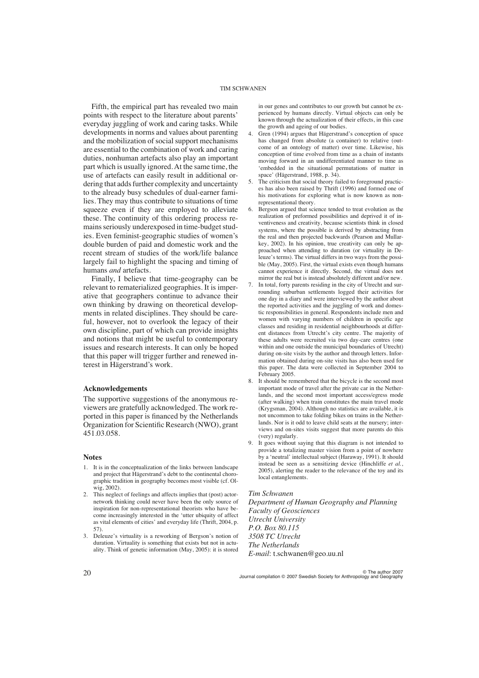Fifth, the empirical part has revealed two main points with respect to the literature about parents' everyday juggling of work and caring tasks. While developments in norms and values about parenting and the mobilization of social support mechanisms are essential to the combination of work and caring duties, nonhuman artefacts also play an important part which is usually ignored. At the same time, the use of artefacts can easily result in additional ordering that adds further complexity and uncertainty to the already busy schedules of dual-earner families. They may thus contribute to situations of time squeeze even if they are employed to alleviate these. The continuity of this ordering process remains seriously underexposed in time-budget studies. Even feminist-geographic studies of women's double burden of paid and domestic work and the recent stream of studies of the work/life balance largely fail to highlight the spacing and timing of humans *and* artefacts.

Finally, I believe that time-geography can be relevant to rematerialized geographies. It is imperative that geographers continue to advance their own thinking by drawing on theoretical developments in related disciplines. They should be careful, however, not to overlook the legacy of their own discipline, part of which can provide insights and notions that might be useful to contemporary issues and research interests. It can only be hoped that this paper will trigger further and renewed interest in Hägerstrand's work.

# **Acknowledgements**

The supportive suggestions of the anonymous reviewers are gratefully acknowledged. The work reported in this paper is financed by the Netherlands Organization for Scientific Research (NWO), grant 451.03.058.

#### **Notes**

- 1. It is in the conceptualization of the links between landscape and project that Hägerstrand's debt to the continental chorographic tradition in geography becomes most visible (cf. Olwig, 2002).
- 2. This neglect of feelings and affects implies that (post) actornetwork thinking could never have been the only source of inspiration for non-representational theorists who have become increasingly interested in the 'utter ubiquity of affect as vital elements of cities' and everyday life (Thrift, 2004, p. 57).
- 3. Deleuze's virtuality is a reworking of Bergson's notion of duration. Virtuality is something that exists but not in actuality. Think of genetic information (May, 2005): it is stored

in our genes and contributes to our growth but cannot be experienced by humans directly. Virtual objects can only be known through the actualization of their effects, in this case the growth and ageing of our bodies.

- 4. Gren (1994) argues that Hägerstrand's conception of space has changed from absolute (a container) to relative (outcome of an ontology of matter) over time. Likewise, his conception of time evolved from time as a chain of instants moving forward in an undifferentiated manner to time as 'embedded in the situational permutations of matter in space' (Hägerstrand, 1988, p. 34).
- 5. The criticism that social theory failed to foreground practices has also been raised by Thrift (1996) and formed one of his motivations for exploring what is now known as nonrepresentational theory.
- 6. Bergson argued that science tended to treat evolution as the realization of preformed possibilities and deprived it of inventiveness and creativity, because scientists think in closed systems, where the possible is derived by abstracting from the real and then projected backwards (Pearson and Mullarkey, 2002). In his opinion, true creativity can only be approached when attending to duration (or virtuality in Deleuze's terms). The virtual differs in two ways from the possible (May, 2005). First, the virtual exists even though humans cannot experience it directly. Second, the virtual does not mirror the real but is instead absolutely different and/or new.
- 7. In total, forty parents residing in the city of Utrecht and surrounding suburban settlements logged their activities for one day in a diary and were interviewed by the author about the reported activities and the juggling of work and domestic responsibilities in general. Respondents include men and women with varying numbers of children in specific age classes and residing in residential neighbourhoods at different distances from Utrecht's city centre. The majority of these adults were recruited via two day-care centres (one within and one outside the municipal boundaries of Utrecht) during on-site visits by the author and through letters. Information obtained during on-site visits has also been used for this paper. The data were collected in September 2004 to February 2005.
- 8. It should be remembered that the bicycle is the second most important mode of travel after the private car in the Netherlands, and the second most important access/egress mode (after walking) when train constitutes the main travel mode (Krygsman, 2004). Although no statistics are available, it is not uncommon to take folding bikes on trains in the Netherlands. Nor is it odd to leave child seats at the nursery; interviews and on-sites visits suggest that more parents do this (very) regularly.
- 9. It goes without saying that this diagram is not intended to provide a totalizing master vision from a point of nowhere by a 'neutral' intellectual subject (Haraway, 1991). It should instead be seen as a sensitizing device (Hinchliffe *et al.*, 2005), alerting the reader to the relevance of the toy and its local entanglements.

#### *Tim Schwanen*

*Department of Human Geography and Planning Faculty of Geosciences Utrecht University P.O. Box 80.115 3508 TC Utrecht The Netherlands E-mail*: t.schwanen@geo.uu.nl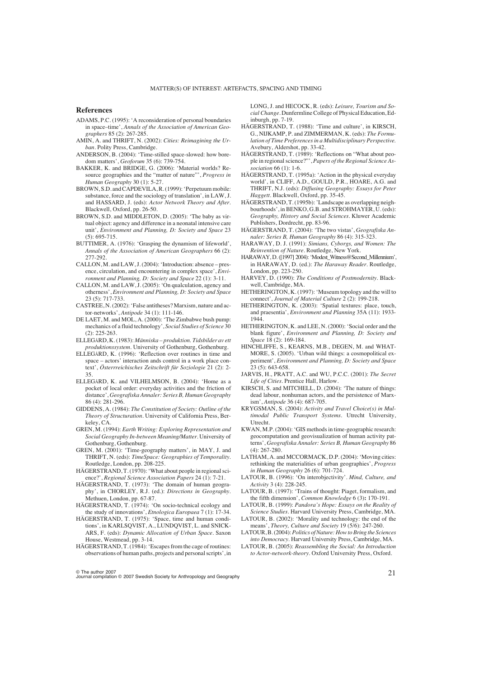#### **References**

- ADAMS, P.C. (1995): 'A reconsideration of personal boundaries in space–time', *Annals of the Association of American Geographers* 85 (2): 267-285.
- AMIN, A. and THRIFT, N. (2002): *Cities: Reimagining the Urban*. Polity Press, Cambridge.
- ANDERSON, B. (2004): 'Time-stilled space-slowed: how boredom matters', *Geoforum* 35 (6): 739-754.
- BAKKER, K. and BRIDGE, G. (2006): 'Material worlds? Resource geographies and the "matter of nature"', *Progress in Human Geography* 30 (1): 5-27.
- BROWN, S.D. and CAPDEVILA, R. (1999): 'Perpetuum mobile: substance, force and the sociology of translation', in LAW, J. and HASSARD, J. (eds): *Actor Network Theory and After*. Blackwell, Oxford, pp. 26-50.
- BROWN, S.D. and MIDDLETON, D. (2005): 'The baby as virtual object: agency and difference in a neonatal intensive care unit', *Environment and Planning, D: Society and Space* 23 (5): 695-715.
- BUTTIMER, A. (1976): 'Grasping the dynamism of lifeworld', *Annals of the Association of American Geographers* 66 (2): 277-292.
- CALLON, M. and LAW, J. (2004): 'Introduction: absence presence, circulation, and encountering in complex space', *Environment and Planning, D: Society and Space* 22 (1): 3-11.
- CALLON, M. and LAW, J. (2005): 'On qualculation, agency and otherness', *Environment and Planning, D: Society and Space* 23 (5): 717-733.
- CASTREE, N. (2002): 'False antitheses? Marxism, nature and actor-networks', *Antipode* 34 (1): 111-146.
- DE LAET, M. and MOL, A. (2000): 'The Zimbabwe bush pump: mechanics of a fluid technology', *Social Studies of Science* 30 (2): 225-263.
- ELLEGÅRD, K. (1983): *Människa produktion. Tidsbilder av ett produktionssystem*. University of Gothenburg, Gothenburg.
- ELLEGÅRD, K. (1996): 'Reflection over routines in time and space – actors' interaction ands control in a work place context', *Österrreichisches Zeitschrift für Soziologie* 21 (2): 2- 35.
- ELLEGÅRD, K. and VILHELMSON, B. (2004): 'Home as a pocket of local order: everyday activities and the friction of distance', *Geografiska Annaler: Series B, Human Geography* 86 (4): 281-296.
- GIDDENS, A. (1984): *The Constitution of Society: Outline of the Theory of Structuration*. University of California Press, Berkeley, CA.
- GREN, M. (1994): *Earth Writing: Exploring Representation and Social Geography In-between Meaning/Matter*. University of Gothenburg, Gothenburg.
- GREN, M. (2001): 'Time-geography matters', in MAY, J. and THRIFT, N. (eds): *TimeSpace: Geographies of Temporality*. Routledge, London, pp. 208-225.
- HÄGERSTRAND, T. (1970): 'What about people in regional science?', *Regional Science Association Papers* 24 (1): 7-21.
- HÄGERSTRAND, T. (1973): 'The domain of human geography', in CHORLEY, R.J. (ed.): *Directions in Geography*. Methuen, London, pp. 67-87.
- HÄGERSTRAND, T. (1974): 'On socio-technical ecology and the study of innovations', *Etnologica Europaea* 7 (1): 17-34.
- HÄGERSTRAND, T. (1975): 'Space, time and human conditions', in KARLSQVIST, A., LUNDQVIST, L. and SNICK-ARS, F. (eds): *Dynamic Allocation of Urban Space*. Saxon House, Westmead, pp. 3-14.
- HÄGERSTRAND, T. (1984): 'Escapes from the cage of routines: observations of human paths, projects and personal scripts', in

LONG, J. and HECOCK, R. (eds): *Leisure, Tourism and Social Change*. Dunfermline College of Physical Education, Edinburgh, pp. 7-19.

- HÄGERSTRAND, T. (1988): 'Time and culture', in KIRSCH, G., NIJKAMP, P. and ZIMMERMAN, K. (eds): *The Formulation of Time Preferences in a Multidisciplinary Perspective.* Avebury, Aldershot, pp. 33-42.
- HÄGERSTRAND, T. (1989): 'Reflections on "What about people in regional science?"', *Papers of the Regional Science Association* 66 (1): 1-6.
- HÄGERSTRAND, T. (1995a): 'Action in the physical everyday world', in CLIFF, A.D., GOULD, P.R., HOARE, A.G. and THRIFT, N.J. (eds): *Diffusing Geography: Essays for Peter Haggett*. Blackwell, Oxford, pp. 35-45.
- HÄGERSTRAND, T. (1995b): 'Landscape as overlapping neighbourhoods', in BENKO, G.B. and STROHMAYER, U. (eds): *Geography, History and Social Sciences*. Kluwer Academic Publishers, Dordrecht, pp. 83-96.
- HÄGERSTRAND, T. (2004): 'The two vistas', *Geografiska Annaler: Series B, Human Geography* 86 (4): 315-323.
- HARAWAY, D. J. (1991): *Simians, Cyborgs, and Women: The Reinvention of Nature*. Routledge, New York.
- HARAWAY, D. ([1997] 2004): 'Modest\_Witness@Second\_Millennium', in HARAWAY, D. (ed.): *The Haraway Reader*. Routledge, London, pp. 223-250.
- HARVEY, D. (1990): *The Conditions of Postmodernity*. Blackwell, Cambridge, MA.
- HETHERINGTON, K. (1997): 'Museum topology and the will to connect', *Journal of Material Culture* 2 (2): 199-218.
- HETHERINGTON, K. (2003): 'Spatial textures: place, touch, and praesentia', *Environment and Planning* 35A (11): 1933- 1944.
- HETHERINGTON, K. and LEE, N. (2000): 'Social order and the blank figure', *Environment and Planning, D: Society and Space* 18 (2): 169-184.
- HINCHLIFFE, S., KEARNS, M.B., DEGEN, M. and WHAT-MORE, S. (2005). 'Urban wild things: a cosmopolitical experiment', *Environment and Planning, D: Society and Space* 23 (5): 643-658.
- JARVIS, H., PRATT, A.C. and WU, P.C.C. (2001): *The Secret Life of Cities*. Prentice Hall, Harlow.
- KIRSCH, S. and MITCHELL, D. (2004): 'The nature of things: dead labour, nonhuman actors, and the persistence of Marxism', *Antipode* 36 (4): 687-705.
- KRYGSMAN, S. (2004): *Activity and Travel Choice(s) in Multimodal Public Transport Systems*. Utrecht University, Utrecht.
- KWAN, M.P. (2004): 'GIS methods in time-geographic research: geocomputation and geovisualization of human activity patterns', *Geografiska Annaler: Series B, Human Geography* 86 (4): 267-280.
- LATHAM, A. and MCCORMACK, D.P. (2004): 'Moving cities: rethinking the materialities of urban geographies', *Progress in Human Geography* 26 (6): 701-724.
- LATOUR, B. (1996): 'On interobjectivity'. *Mind, Culture, and Activity* 3 (4): 228-245.
- LATOUR, B. (1997): 'Trains of thought: Piaget, formalism, and the fifth dimension', *Common Knowledge* 6 (3)**:** 170-191.
- LATOUR, B. (1999): *Pandora's Hope: Essays on the Reality of Science Studies*. Harvard University Press, Cambridge, MA.
- LATOUR, B. (2002): 'Morality and technology: the end of the means', *Theory, Culture and Society* 19 (5/6): 247-260.
- LATOUR, B. (2004): *Politics of Nature: How to Bring the Sciences into Democracy*. Harvard University Press, Cambridge, MA.
- LATOUR, B. (2005): *Reassembling the Social: An Introduction to Actor-network-theory*. Oxford University Press, Oxford.

 $\circ$  The author 2007  $\circ$  2007 Swedish Society for Anthropology and Geography  $21$